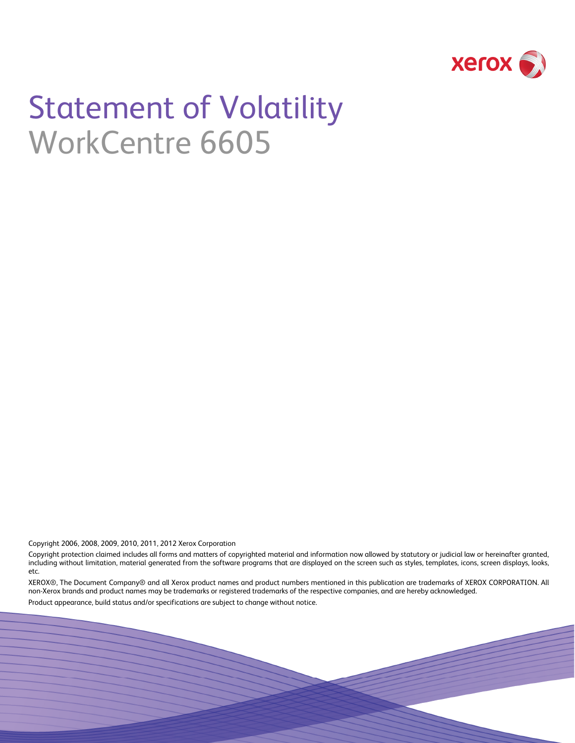

# Statement of Volatility WorkCentre 6605

Copyright 2006, 2008, 2009, 2010, 2011, 2012 Xerox Corporation

Copyright protection claimed includes all forms and matters of copyrighted material and information now allowed by statutory or judicial law or hereinafter granted, including without limitation, material generated from the software programs that are displayed on the screen such as styles, templates, icons, screen displays, looks, etc.

XEROX®, The Document Company® and all Xerox product names and product numbers mentioned in this publication are trademarks of XEROX CORPORATION. All non-Xerox brands and product names may be trademarks or registered trademarks of the respective companies, and are hereby acknowledged.

Product appearance, build status and/or specifications are subject to change without notice.

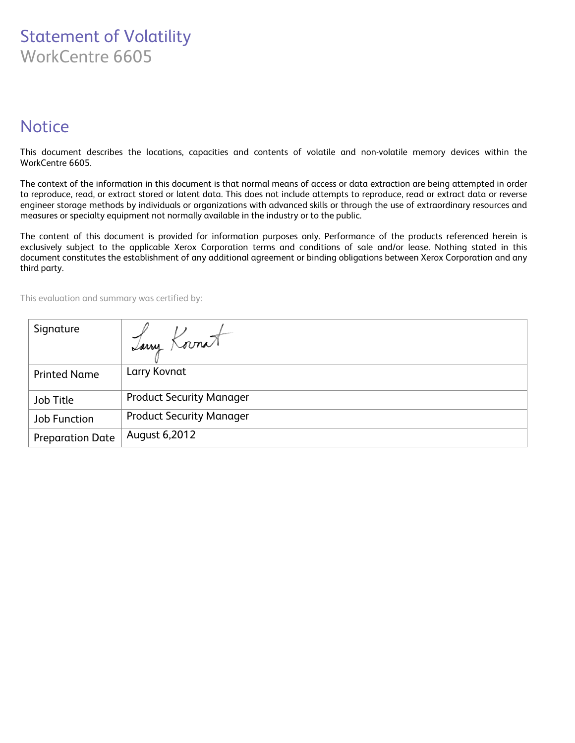# Statement of Volatility WorkCentre 6605

# **Notice**

This document describes the locations, capacities and contents of volatile and non-volatile memory devices within the WorkCentre 6605.

The context of the information in this document is that normal means of access or data extraction are being attempted in order to reproduce, read, or extract stored or latent data. This does not include attempts to reproduce, read or extract data or reverse engineer storage methods by individuals or organizations with advanced skills or through the use of extraordinary resources and measures or specialty equipment not normally available in the industry or to the public.

The content of this document is provided for information purposes only. Performance of the products referenced herein is exclusively subject to the applicable Xerox Corporation terms and conditions of sale and/or lease. Nothing stated in this document constitutes the establishment of any additional agreement or binding obligations between Xerox Corporation and any third party.

This evaluation and summary was certified by:

| Signature               | Tany Kornat                     |
|-------------------------|---------------------------------|
| <b>Printed Name</b>     | Larry Kovnat                    |
| Job Title               | <b>Product Security Manager</b> |
| <b>Job Function</b>     | <b>Product Security Manager</b> |
| <b>Preparation Date</b> | August 6,2012                   |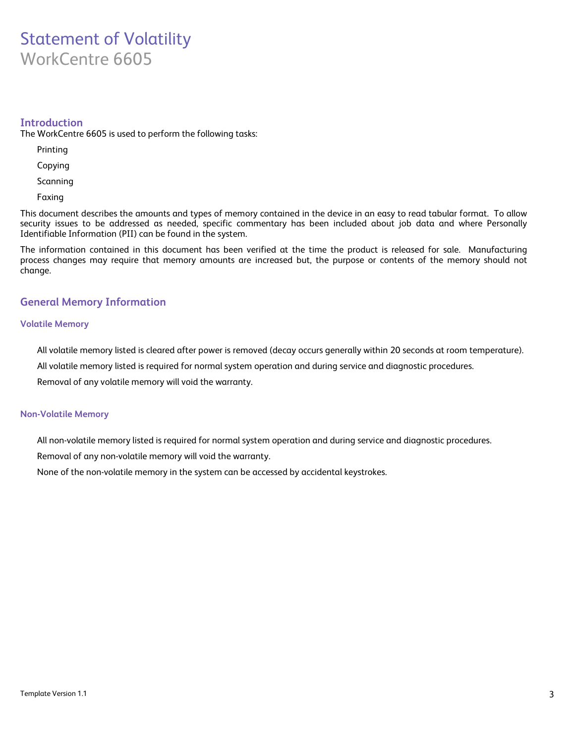# Statement of Volatility WorkCentre 6605

### **Introduction**

The WorkCentre 6605 is used to perform the following tasks:

- Printing
- Copying
- Scanning
- Faxing

This document describes the amounts and types of memory contained in the device in an easy to read tabular format. To allow security issues to be addressed as needed, specific commentary has been included about job data and where Personally Identifiable Information (PII) can be found in the system.

The information contained in this document has been verified at the time the product is released for sale. Manufacturing process changes may require that memory amounts are increased but, the purpose or contents of the memory should not change.

## **General Memory Information**

#### **Volatile Memory**

All volatile memory listed is cleared after power is removed (decay occurs generally within 20 seconds at room temperature).

All volatile memory listed is required for normal system operation and during service and diagnostic procedures.

Removal of any volatile memory will void the warranty.

#### **Non-Volatile Memory**

All non-volatile memory listed is required for normal system operation and during service and diagnostic procedures.

Removal of any non-volatile memory will void the warranty.

None of the non-volatile memory in the system can be accessed by accidental keystrokes.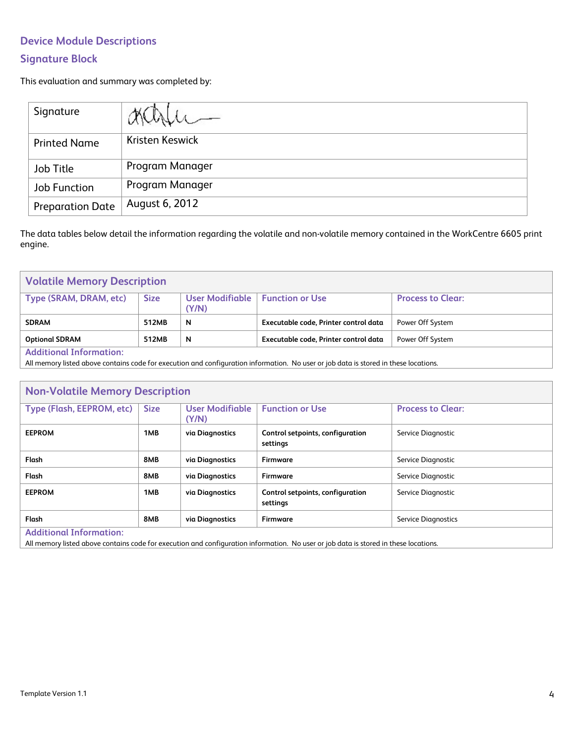# **Device Module Descriptions**

# **Signature Block**

This evaluation and summary was completed by:

| Signature               |                 |
|-------------------------|-----------------|
| <b>Printed Name</b>     | Kristen Keswick |
| Job Title               | Program Manager |
| Job Function            | Program Manager |
| <b>Preparation Date</b> | August 6, 2012  |

The data tables below detail the information regarding the volatile and non-volatile memory contained in the WorkCentre 6605 print engine.

| <b>Volatile Memory Description</b> |             |                            |                                       |                          |
|------------------------------------|-------------|----------------------------|---------------------------------------|--------------------------|
| Type (SRAM, DRAM, etc)             | <b>Size</b> | User Modifiable  <br>(Y/N) | <b>Function or Use</b>                | <b>Process to Clear:</b> |
| <b>SDRAM</b>                       | 512MB       | N                          | Executable code, Printer control data | Power Off System         |
| <b>Optional SDRAM</b>              | 512MB       | N                          | Executable code, Printer control data | Power Off System         |
| <b>Additional Information:</b>     |             |                            |                                       |                          |

All memory listed above contains code for execution and configuration information. No user or job data is stored in these locations.

| <b>Non-Volatile Memory Description</b>                                                                                                                                 |             |                          |                                              |                            |
|------------------------------------------------------------------------------------------------------------------------------------------------------------------------|-------------|--------------------------|----------------------------------------------|----------------------------|
| Type (Flash, EEPROM, etc)                                                                                                                                              | <b>Size</b> | User Modifiable<br>(Y/N) | <b>Function or Use</b>                       | <b>Process to Clear:</b>   |
| <b>EEPROM</b>                                                                                                                                                          | 1MB         | via Diagnostics          | Control setpoints, configuration<br>settings | Service Diagnostic         |
| Flash                                                                                                                                                                  | 8MB         | via Diagnostics          | <b>Firmware</b>                              | Service Diagnostic         |
| Flash                                                                                                                                                                  | 8MB         | via Diagnostics          | Firmware                                     | Service Diagnostic         |
| <b>EEPROM</b>                                                                                                                                                          | 1MB         | via Diagnostics          | Control setpoints, configuration<br>settings | Service Diagnostic         |
| Flash                                                                                                                                                                  | 8MB         | via Diagnostics          | <b>Firmware</b>                              | <b>Service Diagnostics</b> |
| <b>Additional Information:</b><br>All memory listed above contains code for execution and configuration information. No user or job data is stored in these locations. |             |                          |                                              |                            |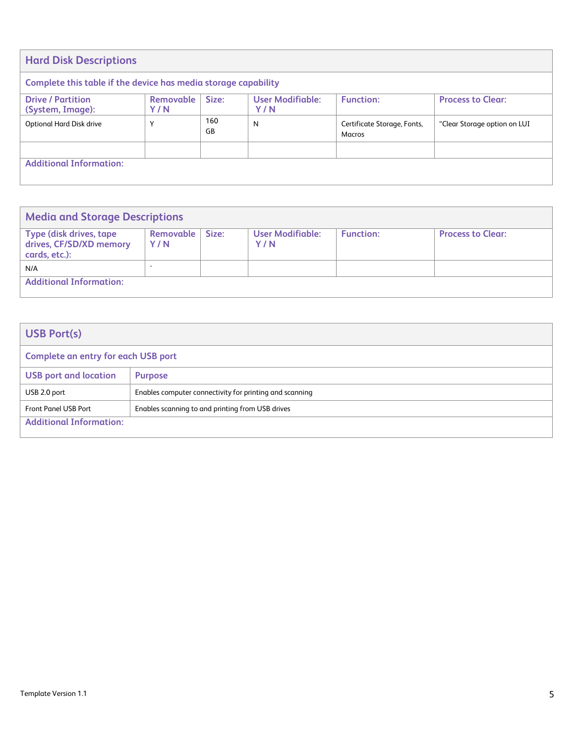| <b>Hard Disk Descriptions</b>                                  |                  |           |                                |                                       |                              |
|----------------------------------------------------------------|------------------|-----------|--------------------------------|---------------------------------------|------------------------------|
| Complete this table if the device has media storage capability |                  |           |                                |                                       |                              |
| <b>Drive / Partition</b><br>(System, Image):                   | Removable<br>Y/N | Size:     | <b>User Modifiable:</b><br>Y/N | <b>Function:</b>                      | <b>Process to Clear:</b>     |
| <b>Optional Hard Disk drive</b>                                | $\mathbf{v}$     | 160<br>GB | N                              | Certificate Storage, Fonts,<br>Macros | "Clear Storage option on LUI |
|                                                                |                  |           |                                |                                       |                              |
| <b>Additional Information:</b>                                 |                  |           |                                |                                       |                              |

| <b>Media and Storage Descriptions</b>                                       |                    |       |                                |                  |                          |
|-----------------------------------------------------------------------------|--------------------|-------|--------------------------------|------------------|--------------------------|
| <b>Type (disk drives, tape)</b><br>drives, CF/SD/XD memory<br>cards, etc.): | Removable  <br>Y/N | Size: | <b>User Modifiable:</b><br>Y/N | <b>Function:</b> | <b>Process to Clear:</b> |
| N/A                                                                         |                    |       |                                |                  |                          |
| <b>Additional Information:</b>                                              |                    |       |                                |                  |                          |

| <b>USB Port(s)</b>                         |                                                         |  |  |  |
|--------------------------------------------|---------------------------------------------------------|--|--|--|
| <b>Complete an entry for each USB port</b> |                                                         |  |  |  |
| <b>USB port and location</b>               | <b>Purpose</b>                                          |  |  |  |
| USB 2.0 port                               | Enables computer connectivity for printing and scanning |  |  |  |
| <b>Front Panel USB Port</b>                | Enables scanning to and printing from USB drives        |  |  |  |
| <b>Additional Information:</b>             |                                                         |  |  |  |